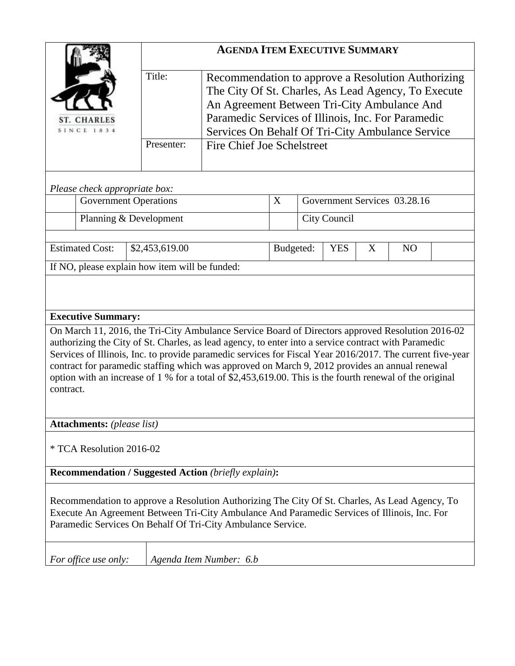|                                                                                                                                                                                                                                                                                                                                                                                                                                                                                                                                                  | <b>AGENDA ITEM EXECUTIVE SUMMARY</b> |                                                                                                                                                                                                                                                                    |           |                                   |  |  |  |  |  |  |  |
|--------------------------------------------------------------------------------------------------------------------------------------------------------------------------------------------------------------------------------------------------------------------------------------------------------------------------------------------------------------------------------------------------------------------------------------------------------------------------------------------------------------------------------------------------|--------------------------------------|--------------------------------------------------------------------------------------------------------------------------------------------------------------------------------------------------------------------------------------------------------------------|-----------|-----------------------------------|--|--|--|--|--|--|--|
| <b>ST. CHARLES</b><br>SINCE 1834                                                                                                                                                                                                                                                                                                                                                                                                                                                                                                                 | Title:                               | Recommendation to approve a Resolution Authorizing<br>The City Of St. Charles, As Lead Agency, To Execute<br>An Agreement Between Tri-City Ambulance And<br>Paramedic Services of Illinois, Inc. For Paramedic<br>Services On Behalf Of Tri-City Ambulance Service |           |                                   |  |  |  |  |  |  |  |
|                                                                                                                                                                                                                                                                                                                                                                                                                                                                                                                                                  | Presenter:                           | Fire Chief Joe Schelstreet                                                                                                                                                                                                                                         |           |                                   |  |  |  |  |  |  |  |
| Please check appropriate box:                                                                                                                                                                                                                                                                                                                                                                                                                                                                                                                    |                                      |                                                                                                                                                                                                                                                                    |           |                                   |  |  |  |  |  |  |  |
| <b>Government Operations</b>                                                                                                                                                                                                                                                                                                                                                                                                                                                                                                                     |                                      |                                                                                                                                                                                                                                                                    | X         | Government Services 03.28.16      |  |  |  |  |  |  |  |
| Planning & Development                                                                                                                                                                                                                                                                                                                                                                                                                                                                                                                           |                                      |                                                                                                                                                                                                                                                                    |           | <b>City Council</b>               |  |  |  |  |  |  |  |
| <b>Estimated Cost:</b><br>\$2,453,619.00                                                                                                                                                                                                                                                                                                                                                                                                                                                                                                         |                                      |                                                                                                                                                                                                                                                                    | Budgeted: | <b>YES</b><br>X<br>N <sub>O</sub> |  |  |  |  |  |  |  |
| If NO, please explain how item will be funded:                                                                                                                                                                                                                                                                                                                                                                                                                                                                                                   |                                      |                                                                                                                                                                                                                                                                    |           |                                   |  |  |  |  |  |  |  |
|                                                                                                                                                                                                                                                                                                                                                                                                                                                                                                                                                  |                                      |                                                                                                                                                                                                                                                                    |           |                                   |  |  |  |  |  |  |  |
| <b>Executive Summary:</b>                                                                                                                                                                                                                                                                                                                                                                                                                                                                                                                        |                                      |                                                                                                                                                                                                                                                                    |           |                                   |  |  |  |  |  |  |  |
| On March 11, 2016, the Tri-City Ambulance Service Board of Directors approved Resolution 2016-02<br>authorizing the City of St. Charles, as lead agency, to enter into a service contract with Paramedic<br>Services of Illinois, Inc. to provide paramedic services for Fiscal Year 2016/2017. The current five-year<br>contract for paramedic staffing which was approved on March 9, 2012 provides an annual renewal<br>option with an increase of 1 % for a total of \$2,453,619.00. This is the fourth renewal of the original<br>contract. |                                      |                                                                                                                                                                                                                                                                    |           |                                   |  |  |  |  |  |  |  |
| <b>Attachments:</b> (please list)                                                                                                                                                                                                                                                                                                                                                                                                                                                                                                                |                                      |                                                                                                                                                                                                                                                                    |           |                                   |  |  |  |  |  |  |  |
| * TCA Resolution 2016-02                                                                                                                                                                                                                                                                                                                                                                                                                                                                                                                         |                                      |                                                                                                                                                                                                                                                                    |           |                                   |  |  |  |  |  |  |  |
| <b>Recommendation / Suggested Action (briefly explain):</b>                                                                                                                                                                                                                                                                                                                                                                                                                                                                                      |                                      |                                                                                                                                                                                                                                                                    |           |                                   |  |  |  |  |  |  |  |
| Recommendation to approve a Resolution Authorizing The City Of St. Charles, As Lead Agency, To<br>Execute An Agreement Between Tri-City Ambulance And Paramedic Services of Illinois, Inc. For<br>Paramedic Services On Behalf Of Tri-City Ambulance Service.                                                                                                                                                                                                                                                                                    |                                      |                                                                                                                                                                                                                                                                    |           |                                   |  |  |  |  |  |  |  |
| Agenda Item Number: 6.b<br>For office use only:                                                                                                                                                                                                                                                                                                                                                                                                                                                                                                  |                                      |                                                                                                                                                                                                                                                                    |           |                                   |  |  |  |  |  |  |  |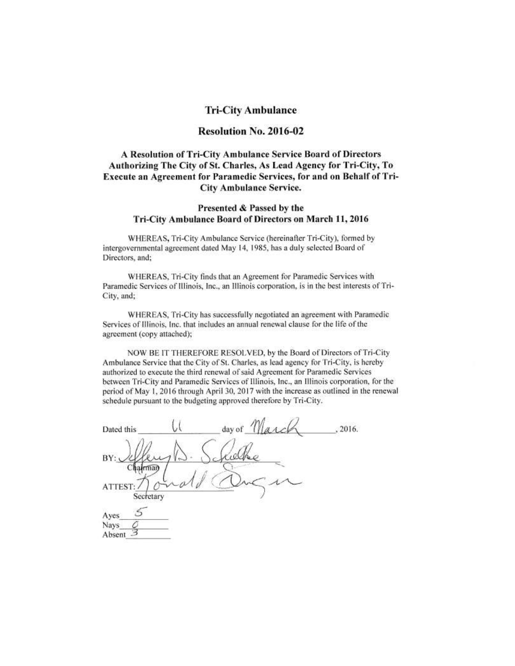### **Tri-City Ambulance**

### Resolution No. 2016-02

## A Resolution of Tri-City Ambulance Service Board of Directors Authorizing The City of St. Charles, As Lead Agency for Tri-City, To Execute an Agreement for Paramedic Services, for and on Behalf of Tri-**City Ambulance Service.**

#### Presented & Passed by the Tri-City Ambulance Board of Directors on March 11, 2016

WHEREAS, Tri-City Ambulance Service (hereinafter Tri-City), formed by intergovernmental agreement dated May 14, 1985, has a duly selected Board of Directors, and;

WHEREAS, Tri-City finds that an Agreement for Paramedic Services with Paramedic Services of Illinois, Inc., an Illinois corporation, is in the best interests of Tri-City, and;

WHEREAS, Tri-City has successfully negotiated an agreement with Paramedic Services of Illinois, Inc. that includes an annual renewal clause for the life of the agreement (copy attached);

NOW BE IT THEREFORE RESOLVED, by the Board of Directors of Tri-City Ambulance Service that the City of St. Charles, as lead agency for Tri-City, is hereby authorized to execute the third renewal of said Agreement for Paramedic Services between Tri-City and Paramedic Services of Illinois, Inc., an Illinois corporation, for the period of May 1, 2016 through April 30, 2017 with the increase as outlined in the renewal schedule pursuant to the budgeting approved therefore by Tri-City.

| Dated this           |  | day of $\frac{1}{2}$ | , 2016. |
|----------------------|--|----------------------|---------|
| BY:<br>mar           |  |                      |         |
| ATTEST:<br>Secretary |  |                      |         |
| Ayes<br>Nays         |  |                      |         |
| Absent               |  |                      |         |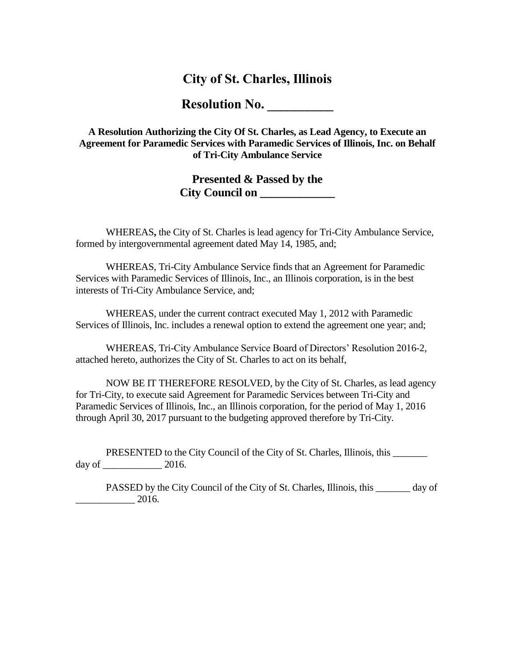# **City of St. Charles, Illinois**

**Resolution No. \_\_\_\_\_\_\_\_\_\_**

**A Resolution Authorizing the City Of St. Charles, as Lead Agency, to Execute an Agreement for Paramedic Services with Paramedic Services of Illinois, Inc. on Behalf of Tri-City Ambulance Service**

# **Presented & Passed by the City Council on \_\_\_\_\_\_\_\_\_\_\_\_\_**

WHEREAS**,** the City of St. Charles is lead agency for Tri-City Ambulance Service, formed by intergovernmental agreement dated May 14, 1985, and;

WHEREAS, Tri-City Ambulance Service finds that an Agreement for Paramedic Services with Paramedic Services of Illinois, Inc., an Illinois corporation, is in the best interests of Tri-City Ambulance Service, and;

WHEREAS, under the current contract executed May 1, 2012 with Paramedic Services of Illinois, Inc. includes a renewal option to extend the agreement one year; and;

WHEREAS, Tri-City Ambulance Service Board of Directors' Resolution 2016-2, attached hereto, authorizes the City of St. Charles to act on its behalf,

NOW BE IT THEREFORE RESOLVED, by the City of St. Charles, as lead agency for Tri-City, to execute said Agreement for Paramedic Services between Tri-City and Paramedic Services of Illinois, Inc., an Illinois corporation, for the period of May 1, 2016 through April 30, 2017 pursuant to the budgeting approved therefore by Tri-City.

PRESENTED to the City Council of the City of St. Charles, Illinois, this \_\_\_\_\_\_\_ day of \_\_\_\_\_\_\_\_\_\_\_\_ 2016.

PASSED by the City Council of the City of St. Charles, Illinois, this day of  $-$  2016.